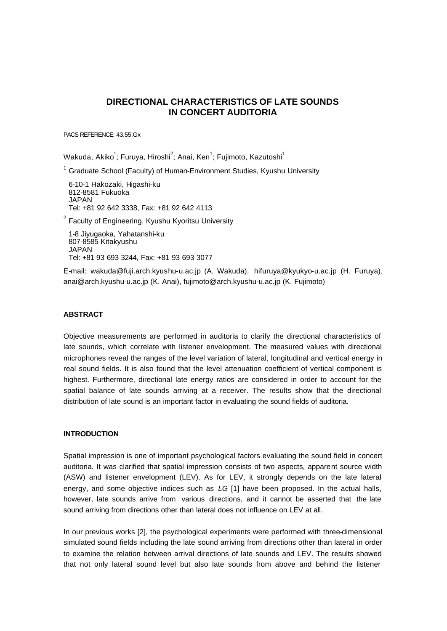# **DIRECTIONAL CHARACTERISTICS OF LATE SOUNDS IN CONCERT AUDITORIA**

PACS REFERENCE: 43.55.Gx

Wakuda, Akiko $^1$ ; Furuya, Hiroshi $^2$ ; Anai, Ken $^1$ ; Fujimoto, Kazutoshi $^1$ 

 $1$  Graduate School (Faculty) of Human-Environment Studies, Kyushu University

6-10-1 Hakozaki, Higashi-ku 812-8581 Fukuoka JAPAN Tel: +81 92 642 3338, Fax: +81 92 642 4113

<sup>2</sup> Faculty of Engineering, Kyushu Kyoritsu University

1-8 Jiyugaoka, Yahatanshi-ku 807-8585 Kitakyushu JAPAN Tel: +81 93 693 3244, Fax: +81 93 693 3077

E-mail: wakuda@fuji.arch.kyushu-u.ac.jp (A. Wakuda), hifuruya@kyukyo-u.ac.jp (H. Furuya), anai@arch.kyushu-u.ac.jp (K. Anai), fujimoto@arch.kyushu-u.ac.jp (K. Fujimoto)

#### **ABSTRACT**

Objective measurements are performed in auditoria to clarify the directional characteristics of late sounds, which correlate with listener envelopment. The measured values with directional microphones reveal the ranges of the level variation of lateral, longitudinal and vertical energy in real sound fields. It is also found that the level attenuation coefficient of vertical component is highest. Furthermore, directional late energy ratios are considered in order to account for the spatial balance of late sounds arriving at a receiver. The results show that the directional distribution of late sound is an important factor in evaluating the sound fields of auditoria.

# **INTRODUCTION**

Spatial impression is one of important psychological factors evaluating the sound field in concert auditoria. It was clarified that spatial impression consists of two aspects, apparent source width (ASW) and listener envelopment (LEV). As for LEV, it strongly depends on the late lateral energy, and some objective indices such as *LG* [1] have been proposed. In the actual halls, however, late sounds arrive from various directions, and it cannot be asserted that the late sound arriving from directions other than lateral does not influence on LEV at all.

In our previous works [2], the psychological experiments were performed with three-dimensional simulated sound fields including the late sound arriving from directions other than lateral in order to examine the relation between arrival directions of late sounds and LEV. The results showed that not only lateral sound level but also late sounds from above and behind the listener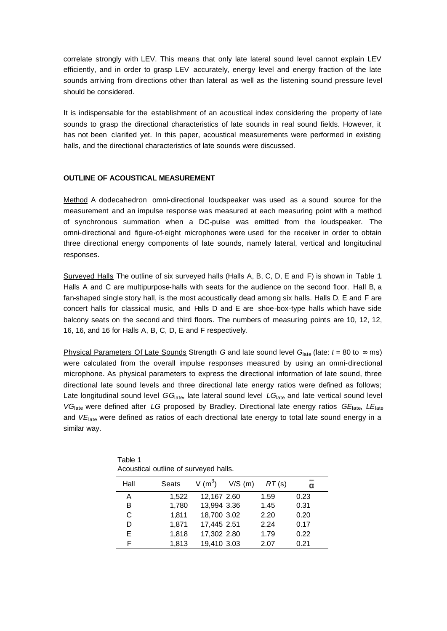correlate strongly with LEV. This means that only late lateral sound level cannot explain LEV efficiently, and in order to grasp LEV accurately, energy level and energy fraction of the late sounds arriving from directions other than lateral as well as the listening sound pressure level should be considered.

It is indispensable for the establishment of an acoustical index considering the property of late sounds to grasp the directional characteristics of late sounds in real sound fields. However, it has not been clarified yet. In this paper, acoustical measurements were performed in existing halls, and the directional characteristics of late sounds were discussed.

#### **OUTLINE OF ACOUSTICAL MEASUREMENT**

Method A dodecahedron omni-directional loudspeaker was used as a sound source for the measurement and an impulse response was measured at each measuring point with a method of synchronous summation when a DC-pulse was emitted from the loudspeaker. The omni-directional and figure-of-eight microphones were used for the receiver in order to obtain three directional energy components of late sounds, namely lateral, vertical and longitudinal responses.

Surveyed Halls The outline of six surveyed halls (Halls A, B, C, D, E and F) is shown in Table 1. Halls A and C are multipurpose-halls with seats for the audience on the second floor. Hall B, a fan-shaped single story hall, is the most acoustically dead among six halls. Halls D, E and F are concert halls for classical music, and Halls D and E are shoe-box-type halls which have side balcony seats on the second and third floors. The numbers of measuring points are 10, 12, 12, 16, 16, and 16 for Halls A, B, C, D, E and F respectively.

Physical Parameters Of Late Sounds Strength *G* and late sound level  $G_{\text{late}}$  (late:  $t = 80$  to  $\infty$  ms) were calculated from the overall impulse responses measured by using an omni-directional microphone. As physical parameters to express the directional information of late sound, three directional late sound levels and three directional late energy ratios were defined as follows; Late longitudinal sound level *GG*<sub>late</sub>, late lateral sound level *LG*<sub>late</sub> and late vertical sound level *VG*late were defined after *LG* proposed by Bradley. Directional late energy ratios *GE*late, *LE*late and *VE*late were defined as ratios of each directional late energy to total late sound energy in a similar way.

| Hall | Seats | V (m <sup>3</sup> ) | $V/S$ (m) | RT(s) |      |
|------|-------|---------------------|-----------|-------|------|
| A    | 1,522 | 12,167 2.60         |           | 1.59  | 0.23 |
| B    | 1,780 | 13,994 3.36         |           | 1.45  | 0.31 |
| С    | 1,811 | 18,700 3.02         |           | 2.20  | 0.20 |
| D    | 1,871 | 17,445 2.51         |           | 2.24  | 0.17 |
| E    | 1,818 | 17,302 2.80         |           | 1.79  | 0.22 |
| F    | 1,813 | 19,410 3.03         |           | 2.07  | 0.21 |

Table 1 Acoustical outline of surveyed halls.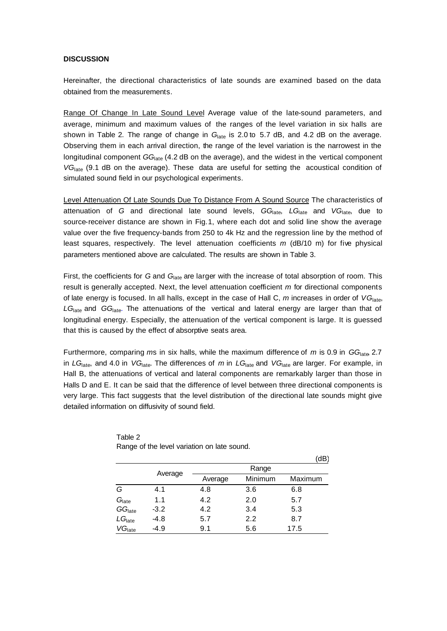### **DISCUSSION**

Hereinafter, the directional characteristics of late sounds are examined based on the data obtained from the measurements.

Range Of Change In Late Sound Level Average value of the late-sound parameters, and average, minimum and maximum values of the ranges of the level variation in six halls are shown in Table 2. The range of change in *G*late is 2.0 to 5.7 dB, and 4.2 dB on the average. Observing them in each arrival direction, the range of the level variation is the narrowest in the longitudinal component *GG*<sub>late</sub> (4.2 dB on the average), and the widest in the vertical component VG<sub>late</sub> (9.1 dB on the average). These data are useful for setting the acoustical condition of simulated sound field in our psychological experiments.

Level Attenuation Of Late Sounds Due To Distance From A Sound Source The characteristics of attenuation of *G* and directional late sound levels, *GG*late, *LG*late and *VG*late, due to source-receiver distance are shown in Fig.1, where each dot and solid line show the average value over the five frequency-bands from 250 to 4k Hz and the regression line by the method of least squares, respectively. The level attenuation coefficients *m* (dB/10 m) for five physical parameters mentioned above are calculated. The results are shown in Table 3.

First, the coefficients for *G* and *G*<sub>late</sub> are larger with the increase of total absorption of room. This result is generally accepted. Next, the level attenuation coefficient *m* for directional components of late energy is focused. In all halls, except in the case of Hall C, *m* increases in order of *VG*late, *LG*late and *GG*late. The attenuations of the vertical and lateral energy are larger than that of longitudinal energy. Especially, the attenuation of the vertical component is large. It is guessed that this is caused by the effect of absorptive seats area.

Furthermore, comparing *m*s in six halls, while the maximum difference of *m* is 0.9 in *GG*late, 2.7 in *LG*late, and 4.0 in *VG*late. The differences of *m* in *LG*late and *VG*late are larger. For example, in Hall B, the attenuations of vertical and lateral components are remarkably larger than those in Halls D and E. It can be said that the difference of level between three directional components is very large. This fact suggests that the level distribution of the directional late sounds might give detailed information on diffusivity of sound field.

|                    |         |         |         | dB      |  |
|--------------------|---------|---------|---------|---------|--|
|                    |         | Range   |         |         |  |
|                    | Average | Average | Minimum | Maximum |  |
| G                  | 4.1     | 4.8     | 3.6     | 6.8     |  |
| G <sub>late</sub>  | 1.1     | 4.2     | 2.0     | 5.7     |  |
| GG <sub>late</sub> | $-3.2$  | 4.2     | 3.4     | 5.3     |  |
| LG <sub>late</sub> | $-4.8$  | 5.7     | 2.2     | 8.7     |  |
| VG <sub>late</sub> | $-4.9$  | 9.1     | 5.6     | 17.5    |  |

| Table 2                                     |  |  |
|---------------------------------------------|--|--|
| Range of the level variation on late sound. |  |  |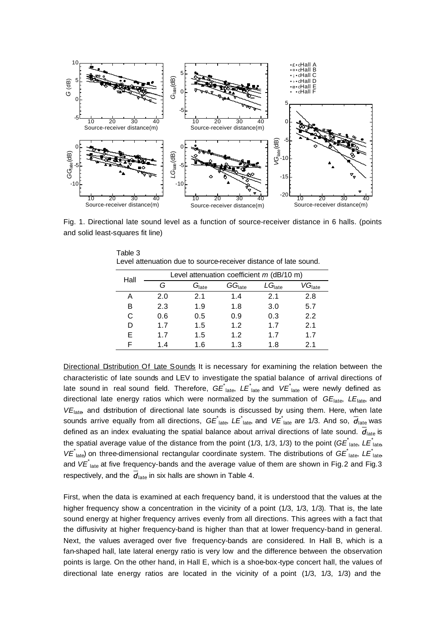

Fig. 1. Directional late sound level as a function of source-receiver distance in 6 halls. (points and solid least-squares fit line)

| Hall |     | Level attenuation coefficient $m$ (dB/10 m) |                    |                    |                    |  |  |
|------|-----|---------------------------------------------|--------------------|--------------------|--------------------|--|--|
|      | G   | $G_{\rm late}$                              | GG <sub>late</sub> | LG <sub>late</sub> | VG <sub>late</sub> |  |  |
| А    | 2.0 | 2.1                                         | 1.4                | 2.1                | 2.8                |  |  |
| в    | 2.3 | 1.9                                         | 1.8                | 3.0                | 5.7                |  |  |
| C    | 0.6 | 0.5                                         | 0.9                | 0.3                | 2.2                |  |  |
|      | 1.7 | 1.5                                         | 1.2                | 1.7                | 2.1                |  |  |
| E    | 1.7 | 1.5                                         | 1.2                | 1.7                | 1.7                |  |  |
| F    | 1.4 | 1.6                                         | 1.3                | 1.8                | 2.1                |  |  |

Level attenuation due to source-receiver distance of late sound.

Table 3

Directional Distribution Of Late Sounds It is necessary for examining the relation between the characteristic of late sounds and LEV to investigate the spatial balance of arrival directions of late sound in real sound field. Therefore,  $G\vec{E_{\rm \,late}}$ ,  $L\vec{E_{\rm \,late}}$  and  $V\vec{E_{\rm \,late}}$  were newly defined as directional late energy ratios which were normalized by the summation of *GE*late, *LE*late, and VE<sub>late</sub> and dstribution of directional late sounds is discussed by using them. Here, when late sounds arrive equally from all directions,  $G\vec{E_{\rm\,late}}$ ,  $L\vec{E_{\rm\,late}}$ , and  $V\vec{E_{\rm\,late}}$  are 1/3. And so,  $\vec{d}_{\rm\,late}}$  was defined as an index evaluating the spatial balance about arrival directions of late sound.  $\overline{d}_{\text{late}}$  is the spatial average value of the distance from the point (1/3, 1/3, 1/3) to the point (GE<sup>\*</sup><sub>late</sub>, LE<sup>\*</sup><sub>late</sub> VE<sup>\*</sup><sub>late</sub>) on three-dimensional rectangular coordinate system. The distributions of *GE*<sup>\*</sup><sub>late</sub>, LE<sup>\*</sup><sub>late</sub> and VE<sup>\*</sup><sub>late</sub> at five frequency-bands and the average value of them are shown in Fig.2 and Fig.3 respectively, and the  $\overline{d}_{\text{late}}$  in six halls are shown in Table 4.

First, when the data is examined at each frequency band, it is understood that the values at the higher frequency show a concentration in the vicinity of a point (1/3, 1/3, 1/3). That is, the late sound energy at higher frequency arrives evenly from all directions. This agrees with a fact that the diffusivity at higher frequency-band is higher than that at lower frequency-band in general. Next, the values averaged over five frequency-bands are considered. In Hall B, which is a fan-shaped hall, late lateral energy ratio is very low and the difference between the observation points is large. On the other hand, in Hall E, which is a shoe-box-type concert hall, the values of directional late energy ratios are located in the vicinity of a point (1/3, 1/3, 1/3) and the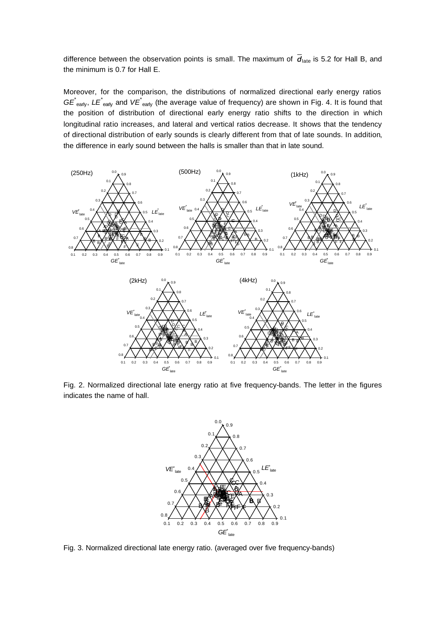difference between the observation points is small. The maximum of  $\overline{d}_{\text{late}}$  is 5.2 for Hall B, and the minimum is 0.7 for Hall E.

Moreover, for the comparison, the distributions of normalized directional early energy ratios *GE*<sup>\*</sup><sub>early</sub>, *LE*<sup>\*</sup><sub>early</sub> and *VE*<sup>\*</sup><sub>early</sub> (the average value of frequency) are shown in Fig. 4. It is found that the position of distribution of directional early energy ratio shifts to the direction in which longitudinal ratio increases, and lateral and vertical ratios decrease. It shows that the tendency of directional distribution of early sounds is clearly different from that of late sounds. In addition, the difference in early sound between the halls is smaller than that in late sound.



Fig. 2. Normalized directional late energy ratio at five frequency-bands. The letter in the figures indicates the name of hall.



Fig. 3. Normalized directional late energy ratio. (averaged over five frequency-bands)